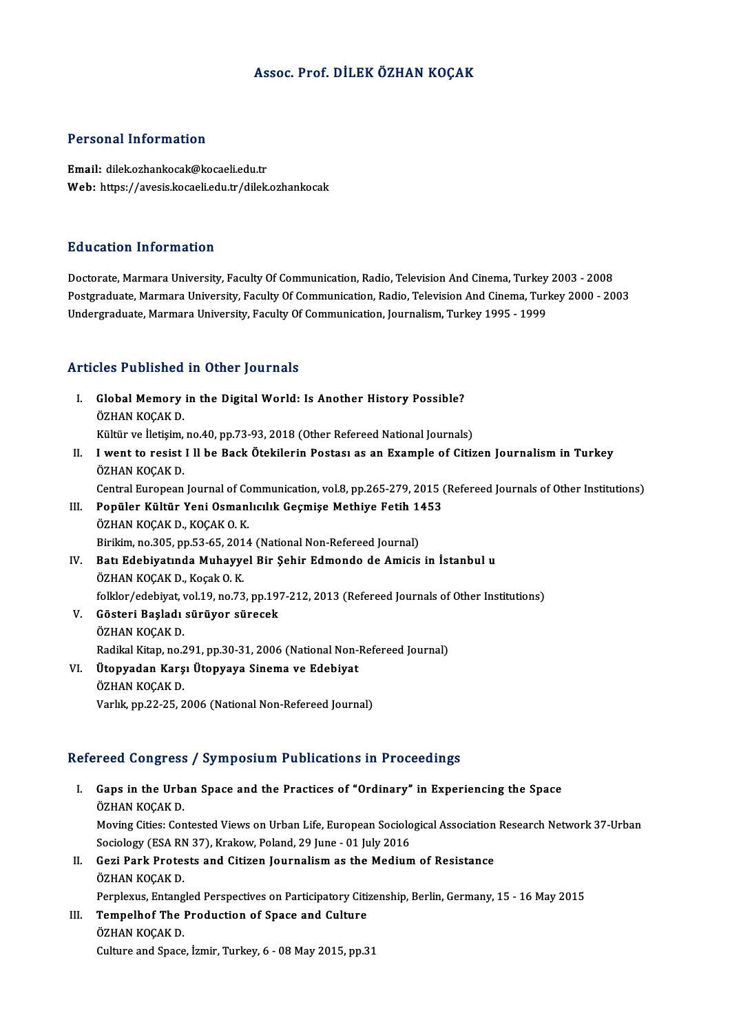## Assoc. Prof. DİLEK ÖZHAN KOÇAK

#### Personal Information

Email: dilek.ozhankocak@kocaeli.edu.tr Web: https://avesis.kocaeli.edu.tr/dilek.ozhankocak

#### Education Information

Doctorate, Marmara University, Faculty Of Communication, Radio, Television And Cinema, Turkey 2003 - 2008 Postgraduate, Marmara University, Faculty Of Communication, Radio, Television And Cinema, Turkey 2000 - 2003 Undergraduate, Marmara University, Faculty Of Communication, Journalism, Turkey 1995 - 1999

#### Articles Published in Other Journals

- I. Global Memory in the Digital World: Is Another History Possible? ÖZHAN KOÇAK D. Global Memory in the Digital World: Is Another History Possible?<br>ÖZHAN KOÇAK D.<br>Kültür ve İletişim, no.40, pp.73-93, 2018 (Other Refereed National Journals)<br>Luvant ta regist Lll be Bask Ötekilerin Bastası 28 an Evample of
- II. I went to resist I ll be Back Ötekilerin Postası as an Example of Citizen Journalism in Turkey<br>ÖZHAN KOCAK D. Kültür ve İletişim,<br>I went to resist<br>ÖZHAN KOÇAK D.<br>Contral Euronean

Central European Journal of Communication, vol.8, pp.265-279, 2015 (Refereed Journals of Other Institutions)

- ÖZHAN KOÇAK D.<br>Central European Journal of Communication, vol.8, pp.265-279, 2015 (<br>III. Popüler Kültür Yeni Osmanlıcılık Geçmişe Methiye Fetih 1453<br>ÖZHAN KOÇAK D. KOÇAK O. K Central European Journal of Co<br>Popüler Kültür Yeni Osman<br>ÖZHAN KOÇAK D., KOÇAK O.K.<br>Birikim no 305 nn 53.65, 2014 Popüler Kültür Yeni Osmanlıcılık Geçmişe Methiye Fetih 1<br>ÖZHAN KOÇAK D., KOÇAK O. K.<br>Birikim, no.305, pp.53-65, 2014 (National Non-Refereed Journal)<br>Patı Edebiyatında Muhayyal Bir Sehir Edmanda da Amisis Birikim, no.305, pp.53-65, 2014 (National Non-Refereed Journal)
- ÖZHAN KOÇAK D., KOÇAK O. K.<br>Birikim, no.305, pp.53-65, 2014 (National Non-Refereed Journal)<br>IV. Batı Edebiyatında Muhayyel Bir Şehir Edmondo de Amicis in İstanbul u<br>ÖZHAN KOÇAK D., Koçak O. K. Batı Edebiyatında Muhayyel Bir Şehir Edmondo de Amicis in İstanbul u<br>ÖZHAN KOÇAK D., Koçak O. K.<br>folklor/edebiyat, vol.19, no.73, pp.197-212, 2013 (Refereed Journals of Other Institutions)<br>Cösteri Basladı sürüyer süresek
- V. Gösteri Başladı sürüyor sürecek folklor/edebiyat, v<br>Gösteri Başladı<br>ÖZHAN KOÇAK D.<br>Badikal Kitan na 2 Radikal Kitap, no.291, pp.30-31, 2006 (National Non-Refereed Journal) ÖZHAN KOÇAK D.<br>Radikal Kitap, no.291, pp.30-31, 2006 (National Non-l<br>VI. Ütopyadan Karşı Ütopyaya Sinema ve Edebiyat<br>ÖZHAN KOCAK D
- Radikal Kitap, no.2<br><mark>Ütopyadan Karş</mark><br>ÖZHAN KOÇAK D.<br>Verlik np.22-25-2 ÖZHAN KOÇAK D.<br>Varlık, pp.22-25, 2006 (National Non-Refereed Journal)

### Refereed Congress / Symposium Publications in Proceedings

- efereed Congress / Symposium Publications in Proceedings<br>I. Gaps in the Urban Space and the Practices of "Ordinary" in Experiencing the Space<br>ÖZHAN KOCAK D Tood Gongross<br>Gaps in the Urba<br>ÖZHAN KOÇAK D.<br>Maying Cities: Con Gaps in the Urban Space and the Practices of "Ordinary" in Experiencing the Space<br>ÖZHAN KOÇAK D.<br>Moving Cities: Contested Views on Urban Life, European Sociological Association Research Network 37-Urban<br>Sociology (ESA PN 2 ÖZHAN KOÇAK D.<br>Moving Cities: Contested Views on Urban Life, European Sociolo<br>Sociology (ESA RN 37), Krakow, Poland, 29 June - 01 July 2016<br>Ceri Bark Protests and Citiren Journalism as the Medium Moving Cities: Contested Views on Urban Life, European Sociological Association<br>Sociology (ESA RN 37), Krakow, Poland, 29 June - 01 July 2016<br>II. Gezi Park Protests and Citizen Journalism as the Medium of Resistance<br>ÖZHAN Sociology (ESA RN 37), Krakow, Poland, 29 June - 01 July 2016<br>II. Gezi Park Protests and Citizen Journalism as the Medium of Resistance<br>ÖZHAN KOÇAK D. Gezi Park Protests and Citizen Journalism as the Medium of Resistance<br>ÖZHAN KOÇAK D.<br>Perplexus, Entangled Perspectives on Participatory Citizenship, Berlin, Germany, 15 - 16 May 2015<br>Tempelhef The Preduction of Space and C III. Tempelhof The Production of Space and Culture<br>ÖZHAN KOÇAK D. Perplexus, Entang<br>**Tempelhof The**<br>ÖZHAN KOÇAK D.<br>Culture and Space
	- Culture and Space, İzmir, Turkey, 6 08 May 2015, pp.31